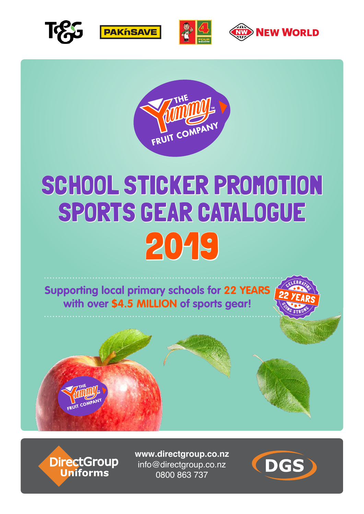









## SCHOOL STICKER PROMOTION SPORTS GEAR CATALOGUE 2019

**Supporting local primary schools for 22 YEARS with over \$4.5 MILLION of sports gear!**





DirectGroup<br>Uniforms

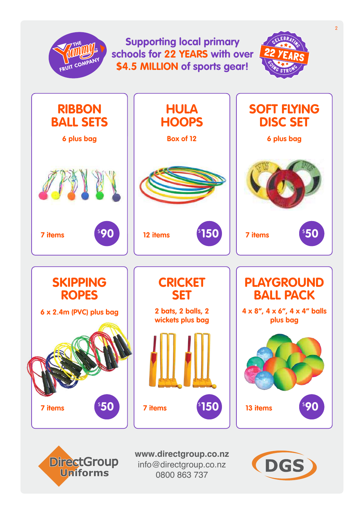

info@directgroup.co.nz 0800 863 737

**Uniforms** 

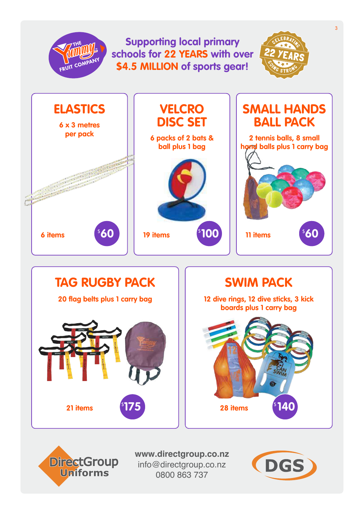## 3 **Supporting local primary schools for 22 YEARS with over**  FRUIT CON **\$4.5 MILLION of sports gear!ELASTICS | VELCRO | SMALL HANDS VELCRO DISC SET BALL PACK 6 x 3 metres per pack 6 packs of 2 bats & 2 tennis balls, 8 small ball plus 1 bag hand balls plus 1 carry bag**  $\sqrt[5]{100}$  $^{\text{\tiny{\textregistered}}\mathbf{60}}$  || 19 items  $^{\text{\tiny{\textregistered}}\mathbf{100}}$  || 11 items  $^{\text{\tiny{\textregistered}}\mathbf{60}}$ **6 items 19 items 11 items TAG RUGBY PACK SWIM PACK 20 flag belts plus 1 carry bag 12 dive rings, 12 dive sticks, 3 kick boards plus 1 carry bag**







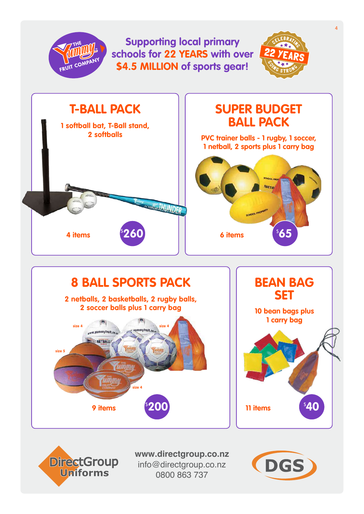

![](_page_3_Picture_1.jpeg)

![](_page_3_Picture_3.jpeg)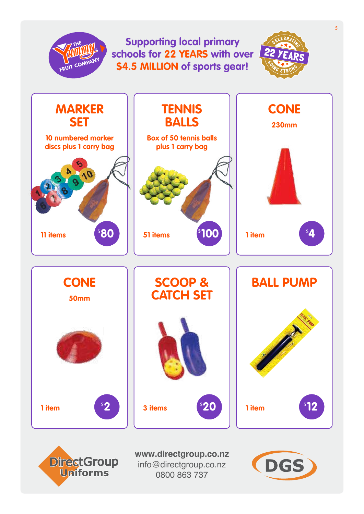## **Supporting local primary schools for 22 YEARS with over \$4.5 MILLION of sports gear!**

 $\overline{\text{TV}}$ 

![](_page_4_Picture_1.jpeg)

![](_page_4_Picture_2.jpeg)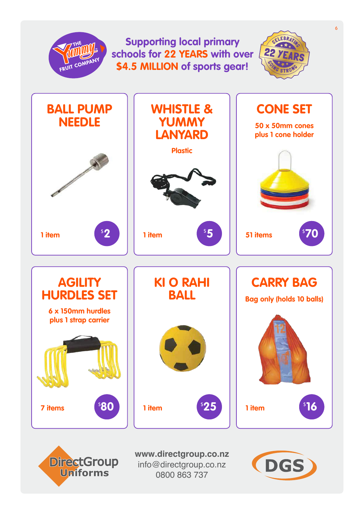![](_page_5_Picture_0.jpeg)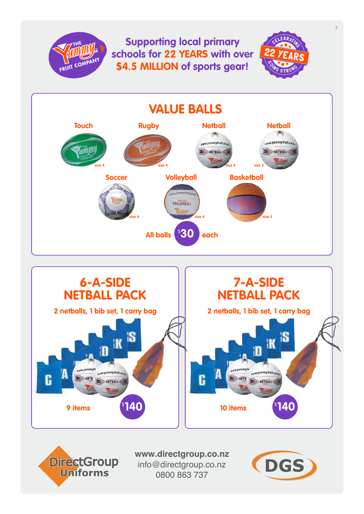![](_page_6_Picture_0.jpeg)

![](_page_6_Figure_1.jpeg)

![](_page_6_Picture_2.jpeg)

![](_page_6_Picture_3.jpeg)

![](_page_6_Picture_5.jpeg)